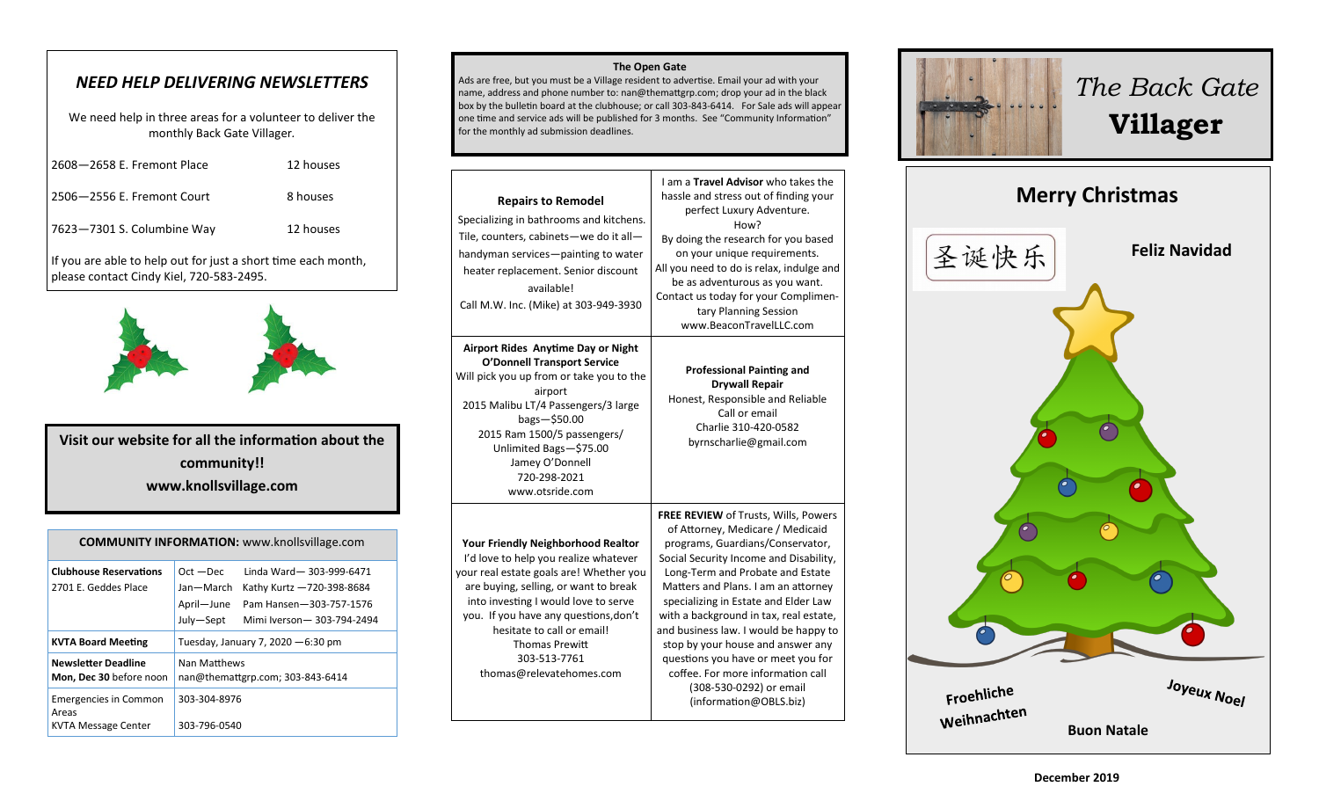# *NEED HELP DELIVERING NEWSLETTERS*

We need help in three areas for a volunteer to deliver the monthly Back Gate Villager*.*

| 2608-2658 E. Fremont Place | 12 houses |
|----------------------------|-----------|
| 2506–2556 E. Fremont Court | 8 houses  |
| 7623-7301 S. Columbine Way | 12 houses |
|                            |           |

If you are able to help out for just a short time each month, please contact Cindy Kiel, 720-583-2495.



**Visit our website for all the information about the community!! www.knollsvillage.com**

| <b>COMMUNITY INFORMATION: www.knollsvillage.com</b>          |                                                                                                                                                                     |  |
|--------------------------------------------------------------|---------------------------------------------------------------------------------------------------------------------------------------------------------------------|--|
| <b>Clubhouse Reservations</b><br>2701 E. Geddes Place        | Linda Ward-303-999-6471<br>$Oct - Dec$<br>Jan—March<br>Kathy Kurtz -720-398-8684<br>April-June<br>Pam Hansen-303-757-1576<br>July-Sept<br>Mimi Iverson-303-794-2494 |  |
| <b>KVTA Board Meeting</b>                                    | Tuesday, January 7, 2020 $-6:30$ pm                                                                                                                                 |  |
| <b>Newsletter Deadline</b><br>Mon, Dec 30 before noon        | Nan Matthews<br>nan@themattgrp.com; 303-843-6414                                                                                                                    |  |
| <b>Emergencies in Common</b><br>Areas<br>KVTA Message Center | 303-304-8976<br>303-796-0540                                                                                                                                        |  |

### **The Open Gate**

Ads are free, but you must be a Village resident to advertise. Email your ad with your name, address and phone number to: nan@themattgrp.com; drop your ad in the black box by the bulletin board at the clubhouse; or call 303-843-6414. For Sale ads will appear one time and service ads will be published for 3 months. See "Community Information" for the monthly ad submission deadlines.

| <b>Repairs to Remodel</b><br>Specializing in bathrooms and kitchens.<br>Tile, counters, cabinets-we do it all-<br>handyman services-painting to water<br>heater replacement. Senior discount<br>available!<br>Call M.W. Inc. (Mike) at 303-949-3930                                                                                                        | I am a Travel Advisor who takes the<br>hassle and stress out of finding your<br>perfect Luxury Adventure.<br>How?<br>By doing the research for you based<br>on your unique requirements.<br>All you need to do is relax, indulge and<br>be as adventurous as you want.<br>Contact us today for your Complimen-<br>tary Planning Session<br>www.BeaconTravelLLC.com                                                                                                                                                                |
|------------------------------------------------------------------------------------------------------------------------------------------------------------------------------------------------------------------------------------------------------------------------------------------------------------------------------------------------------------|-----------------------------------------------------------------------------------------------------------------------------------------------------------------------------------------------------------------------------------------------------------------------------------------------------------------------------------------------------------------------------------------------------------------------------------------------------------------------------------------------------------------------------------|
| Airport Rides Anytime Day or Night<br><b>O'Donnell Transport Service</b><br>Will pick you up from or take you to the<br>airport<br>2015 Malibu LT/4 Passengers/3 large<br>$bags - $50.00$<br>2015 Ram 1500/5 passengers/<br>Unlimited Bags-\$75.00<br>Jamey O'Donnell<br>720-298-2021<br>www.otsride.com                                                   | <b>Professional Painting and</b><br><b>Drywall Repair</b><br>Honest, Responsible and Reliable<br>Call or email<br>Charlie 310-420-0582<br>byrnscharlie@gmail.com                                                                                                                                                                                                                                                                                                                                                                  |
| <b>Your Friendly Neighborhood Realtor</b><br>I'd love to help you realize whatever<br>your real estate goals are! Whether you<br>are buying, selling, or want to break<br>into investing I would love to serve<br>you. If you have any questions, don't<br>hesitate to call or email!<br><b>Thomas Prewitt</b><br>303-513-7761<br>thomas@relevatehomes.com | FREE REVIEW of Trusts, Wills, Powers<br>of Attorney, Medicare / Medicaid<br>programs, Guardians/Conservator,<br>Social Security Income and Disability,<br>Long-Term and Probate and Estate<br>Matters and Plans. I am an attorney<br>specializing in Estate and Elder Law<br>with a background in tax, real estate,<br>and business law. I would be happy to<br>stop by your house and answer any<br>questions you have or meet you for<br>coffee. For more information call<br>(308-530-0292) or email<br>(information@OBLS.biz) |



*The Back Gate*  **Villager**